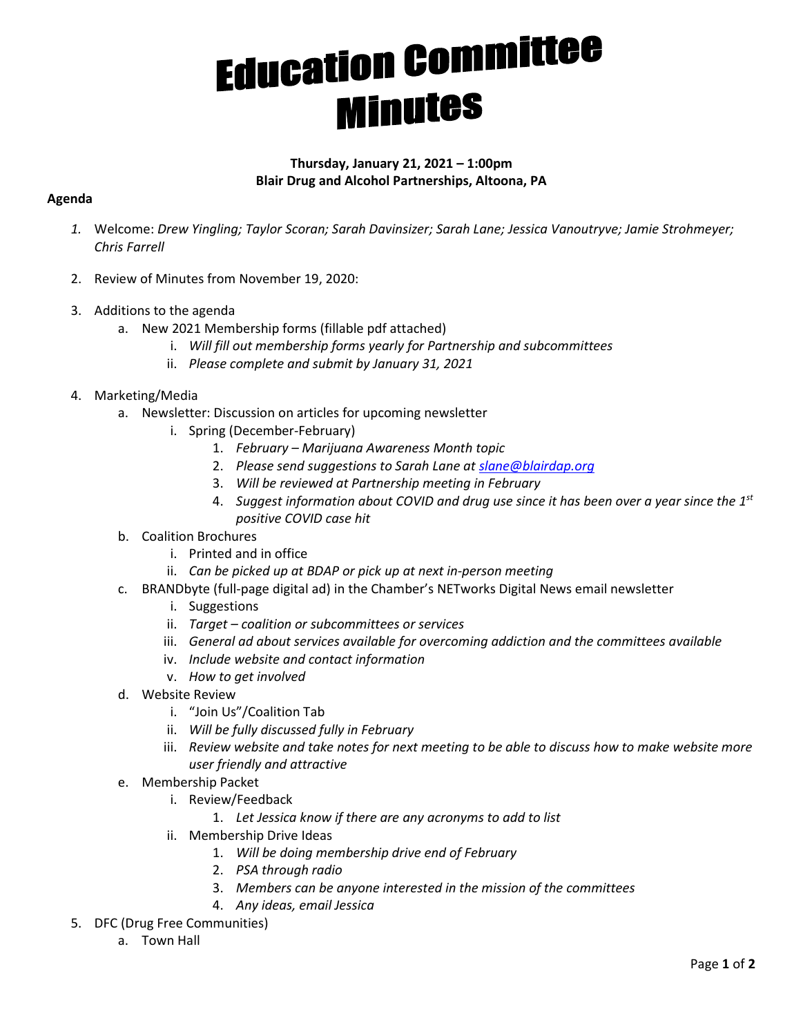## **Education Committee**<br>**Minutes**

## **Thursday, January 21, 2021 – 1:00pm Blair Drug and Alcohol Partnerships, Altoona, PA**

## **Agenda**

- *1.* Welcome: *Drew Yingling; Taylor Scoran; Sarah Davinsizer; Sarah Lane; Jessica Vanoutryve; Jamie Strohmeyer; Chris Farrell*
- 2. Review of Minutes from November 19, 2020:
- 3. Additions to the agenda
	- a. New 2021 Membership forms (fillable pdf attached)
		- i. *Will fill out membership forms yearly for Partnership and subcommittees*
		- ii. *Please complete and submit by January 31, 2021*
- 4. Marketing/Media
	- a. Newsletter: Discussion on articles for upcoming newsletter
		- i. Spring (December-February)
			- 1. *February Marijuana Awareness Month topic*
			- 2. *Please send suggestions to Sarah Lane at [slane@blairdap.org](mailto:slane@blairdap.org)*
			- 3. *Will be reviewed at Partnership meeting in February*
			- 4. *Suggest information about COVID and drug use since it has been over a year since the 1st positive COVID case hit*
	- b. Coalition Brochures
		- i. Printed and in office
		- ii. *Can be picked up at BDAP or pick up at next in-person meeting*
	- c. BRANDbyte (full-page digital ad) in the Chamber's NETworks Digital News email newsletter
		- i. Suggestions
		- ii. *Target coalition or subcommittees or services*
		- iii. *General ad about services available for overcoming addiction and the committees available*
		- iv. *Include website and contact information*
		- v. *How to get involved*
	- d. Website Review
		- i. "Join Us"/Coalition Tab
		- ii. *Will be fully discussed fully in February*
		- iii. *Review website and take notes for next meeting to be able to discuss how to make website more user friendly and attractive*
	- e. Membership Packet
		- i. Review/Feedback
			- 1. *Let Jessica know if there are any acronyms to add to list*
		- ii. Membership Drive Ideas
			- 1. *Will be doing membership drive end of February*
			- 2. *PSA through radio*
			- 3. *Members can be anyone interested in the mission of the committees*
			- 4. *Any ideas, email Jessica*
- 5. DFC (Drug Free Communities)
	- a. Town Hall